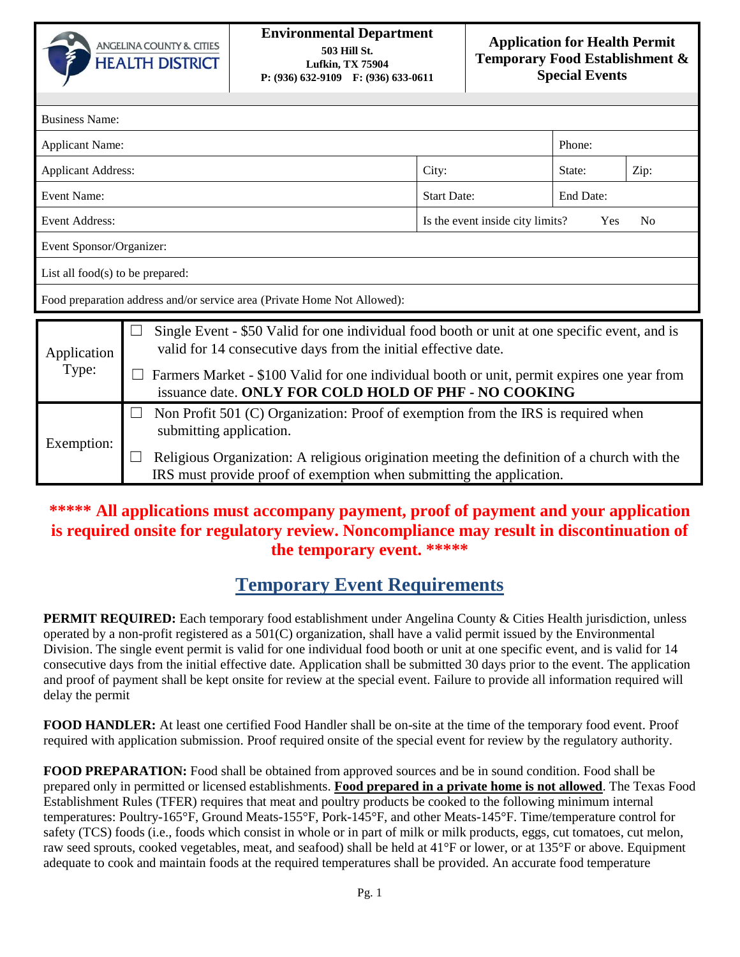

| <b>Business Name:</b>                                                    |                                                                                                                                                                                                                                                                                                                                                     |                                                           |           |      |
|--------------------------------------------------------------------------|-----------------------------------------------------------------------------------------------------------------------------------------------------------------------------------------------------------------------------------------------------------------------------------------------------------------------------------------------------|-----------------------------------------------------------|-----------|------|
| <b>Applicant Name:</b>                                                   |                                                                                                                                                                                                                                                                                                                                                     |                                                           | Phone:    |      |
| <b>Applicant Address:</b>                                                |                                                                                                                                                                                                                                                                                                                                                     | City:                                                     | State:    | Zip: |
| Event Name:                                                              |                                                                                                                                                                                                                                                                                                                                                     | <b>Start Date:</b>                                        | End Date: |      |
| Event Address:                                                           |                                                                                                                                                                                                                                                                                                                                                     | Is the event inside city limits?<br>Yes<br>N <sub>0</sub> |           |      |
| Event Sponsor/Organizer:                                                 |                                                                                                                                                                                                                                                                                                                                                     |                                                           |           |      |
| List all food $(s)$ to be prepared:                                      |                                                                                                                                                                                                                                                                                                                                                     |                                                           |           |      |
| Food preparation address and/or service area (Private Home Not Allowed): |                                                                                                                                                                                                                                                                                                                                                     |                                                           |           |      |
| Application<br>Type:                                                     | Single Event - \$50 Valid for one individual food booth or unit at one specific event, and is<br>$\overline{\phantom{a}}$<br>valid for 14 consecutive days from the initial effective date.<br>Farmers Market - \$100 Valid for one individual booth or unit, permit expires one year from<br>issuance date. ONLY FOR COLD HOLD OF PHF - NO COOKING |                                                           |           |      |
| Exemption:                                                               | Non Profit 501 (C) Organization: Proof of exemption from the IRS is required when<br>$\Box$<br>submitting application.                                                                                                                                                                                                                              |                                                           |           |      |
|                                                                          | Religious Organization: A religious origination meeting the definition of a church with the<br>IRS must provide proof of exemption when submitting the application.                                                                                                                                                                                 |                                                           |           |      |

## **\*\*\*\*\* All applications must accompany payment, proof of payment and your application is required onsite for regulatory review. Noncompliance may result in discontinuation of the temporary event. \*\*\*\*\***

## **Temporary Event Requirements**

**PERMIT REQUIRED:** Each temporary food establishment under Angelina County & Cities Health jurisdiction, unless operated by a non-profit registered as a 501(C) organization, shall have a valid permit issued by the Environmental Division. The single event permit is valid for one individual food booth or unit at one specific event, and is valid for 14 consecutive days from the initial effective date. Application shall be submitted 30 days prior to the event. The application and proof of payment shall be kept onsite for review at the special event. Failure to provide all information required will delay the permit

**FOOD HANDLER:** At least one certified Food Handler shall be on-site at the time of the temporary food event. Proof required with application submission. Proof required onsite of the special event for review by the regulatory authority.

**FOOD PREPARATION:** Food shall be obtained from approved sources and be in sound condition. Food shall be prepared only in permitted or licensed establishments. **Food prepared in a private home is not allowed**. The Texas Food Establishment Rules (TFER) requires that meat and poultry products be cooked to the following minimum internal temperatures: Poultry-165°F, Ground Meats-155°F, Pork-145°F, and other Meats-145°F. Time/temperature control for safety (TCS) foods (i.e., foods which consist in whole or in part of milk or milk products, eggs, cut tomatoes, cut melon, raw seed sprouts, cooked vegetables, meat, and seafood) shall be held at 41°F or lower, or at 135°F or above. Equipment adequate to cook and maintain foods at the required temperatures shall be provided. An accurate food temperature